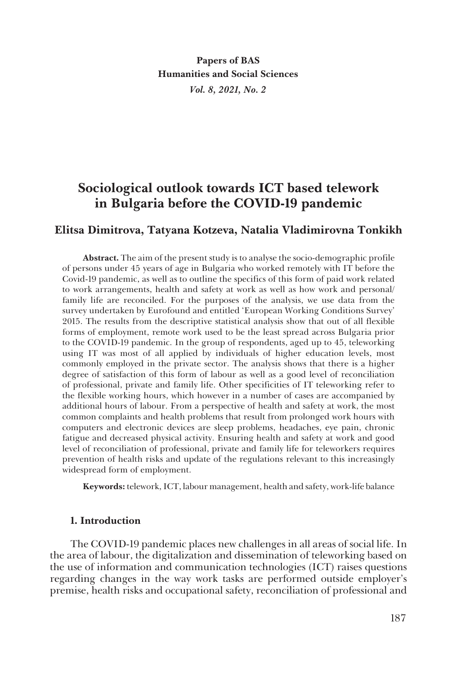**Papers of BAS Humanities and Social Sciences** *Vol. 8, 2021, No. 2*

# **Sociological outlook towards ICT based telework in Bulgaria before the COVID-19 pandemic**

# **Elitsa Dimitrova, Tatyana Kotzeva, Natalia Vladimirovna Tonkikh**

**Abstract.** The aim of the present study is to analyse the socio-demographic profile of persons under 45 years of age in Bulgaria who worked remotely with IT before the Covid-19 pandemic, as well as to outline the specifics of this form of paid work related to work arrangements, health and safety at work as well as how work and personal/ family life are reconciled. For the purposes of the analysis, we use data from the survey undertaken by Еurofound and entitled 'European Working Conditions Survey' 2015. The results from the descriptive statistical analysis show that out of all flexible forms of employment, remote work used to be the least spread across Bulgaria prior to the COVID-19 pandemic. In the group of respondents, aged up to 45, teleworking using IT was most of all applied by individuals of higher education levels, most commonly employed in the private sector. The analysis shows that there is a higher degree of satisfaction of this form of labour as well as a good level of reconciliation of professional, private and family life. Other specificities of IT teleworking refer to the flexible working hours, which however in a number of cases are accompanied by additional hours of labour. From a perspective of health and safety at work, the most common complaints and health problems that result from prolonged work hours with computers and electronic devices are sleep problems, headaches, eye pain, chronic fatigue and decreased physical activity. Ensuring health and safety at work and good level of reconciliation of professional, private and family life for teleworkers requires prevention of health risks and update of the regulations relevant to this increasingly widespread form of employment.

**Keywords:** telework, ICT, labour management, health and safety, work-life balance

## **1. Introduction**

The COVID-19 pandemic places new challenges in all areas of social life. In the area of labour, the digitalization and dissemination of teleworking based on the use of information and communication technologies (ICT) raises questions regarding changes in the way work tasks are performed outside employer's premise, health risks and occupational safety, reconciliation of professional and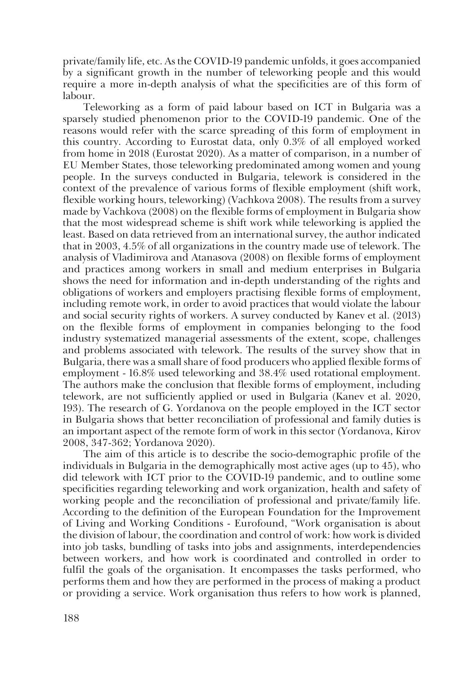private/family life, etc. As the COVID-19 pandemic unfolds, it goes accompanied by a significant growth in the number of teleworking people and this would require a more in-depth analysis of what the specificities are of this form of labour.

Teleworking as a form of paid labour based on ICT in Bulgaria was a sparsely studied phenomenon prior to the COVID-19 pandemic. One of the reasons would refer with the scarce spreading of this form of employment in this country. According to Еurostat data, only 0.3% of all employed worked from home in 2018 (Eurostat 2020). As a matter of comparison, in a number of EU Member States, those teleworking predominated among women and young people. In the surveys conducted in Bulgaria, telework is considered in the context of the prevalence of various forms of flexible employment (shift work, flexible working hours, teleworking) (Vachkova 2008). The results from a survey made by Vachkova (2008) on the flexible forms of employment in Bulgaria show that the most widespread scheme is shift work while teleworking is applied the least. Based on data retrieved from an international survey, the author indicated that in 2003, 4.5% of all organizations in the country made use of telework. The analysis of Vladimirova and Atanasova (2008) on flexible forms of employment and practices among workers in small and medium enterprises in Bulgaria shows the need for information and in-depth understanding of the rights and obligations of workers and employers practising flexible forms of employment, including remote work, in order to avoid practices that would violate the labour and social security rights of workers. A survey conducted by Kanev et al. (2013) on the flexible forms of employment in companies belonging to the food industry systematized managerial assessments of the extent, scope, challenges and problems associated with telework. The results of the survey show that in Bulgaria, there was a small share of food producers who applied flexible forms of employment - 16.8% used teleworking and 38.4% used rotational employment. The authors make the conclusion that flexible forms of employment, including telework, are not sufficiently applied or used in Bulgaria (Kanev et al. 2020, 193). The research of G. Yordanova on the people employed in the ICT sector in Bulgaria shows that better reconciliation of professional and family duties is an important aspect of the remote form of work in this sector (Yordanova, Kirov 2008, 347-362; Yordanova 2020).

The aim of this article is to describe the socio-demographic profile of the individuals in Bulgaria in the demographically most active ages (up to 45), who did telework with ICT prior to the COVID-19 pandemic, and to outline some specificities regarding teleworking and work organization, health and safety of working people and the reconciliation of professional and private/family life. According to the definition of the European Foundation for the Improvement of Living and Working Conditions - Eurofound, "Work organisation is about the division of labour, the coordination and control of work: how work is divided into job tasks, bundling of tasks into jobs and assignments, interdependencies between workers, and how work is coordinated and controlled in order to fulfil the goals of the organisation. It encompasses the tasks performed, who performs them and how they are performed in the process of making a product or providing a service. Work organisation thus refers to how work is planned,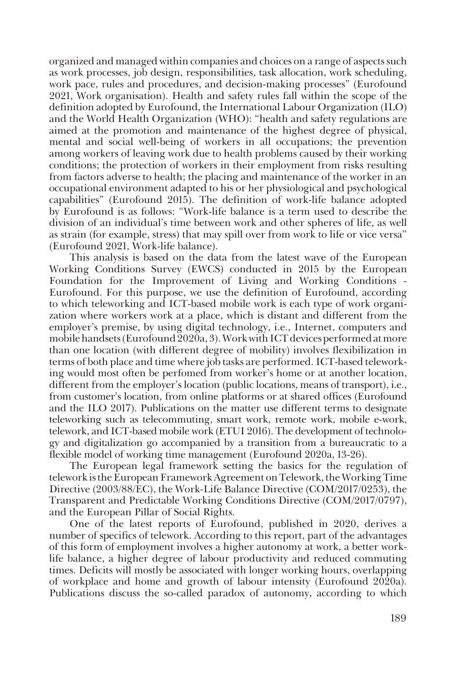organized and managed within companies and choices on a range of aspects such as work processes, job design, responsibilities, task allocation, work scheduling, work pace, rules and procedures, and decision-making processes" (Eurofound 2021, Work organisation). Health and safety rules fall within the scope of the definition adopted by Eurofound, the International Labour Organization (ILO) and the World Health Organization (WHO): "health and safety regulations are aimed at the promotion and maintenance of the highest degree of physical, mental and social well-being of workers in all occupations; the prevention among workers of leaving work due to health problems caused by their working conditions; the protection of workers in their employment from risks resulting from factors adverse to health; the placing and maintenance of the worker in an occupational environment adapted to his or her physiological and psychological capabilities" (Eurofound 2015). The definition of work-life balance adopted by Eurofound is as follows: "Work-life balance is a term used to describe the division of an individual's time between work and other spheres of life, as well as strain (for example, stress) that may spill over from work to life or vice versa" (Eurofound 2021, Work-life balance).

This analysis is based on the data from the latest wave of the European Working Conditions Survey (EWCS) conducted in 2015 by the European Foundation for the Improvement of Living and Working Conditions - Eurofound. For this purpose, we use the definition of Eurofound, according to which teleworking and ICT-based mobile work is each type of work organization where workers work at a place, which is distant and different from the employer's premise, by using digital technology, i.e., Internet, computers and mobile handsets (Eurofound 2020a, 3). Work with ICT devices performed at more than one location (with different degree of mobility) involves flexibilization in terms of both place and time where job tasks are performed. ICT-based teleworking would most often be perfomed from worker's home or at another location, different from the employer's location (public locations, means of transport), i.e., from customer's location, from online platforms or at shared offices (Eurofound and the ILO 2017). Publications on the matter use different terms to designate teleworking such as telecommuting, smart work, remote work, mobile e-work, telework, and ICT-based mobile work (ETUI 2016). The development of technology and digitalization go accompanied by a transition from a bureaucratic to a flexible model of working time management (Eurofound 2020a, 13-26).

The European legal framework setting the basics for the regulation of telework is the European Framework Agreement on Telework, the Working Time Directive (2003/88/EC), the Work-Life Balance Directive (COM/2017/0253), the Transparent and Predictable Working Conditions Directive (COM/2017/0797), and the European Pillar of Social Rights.

One of the latest reports of Eurofound, published in 2020, derives a number of specifics of telework. According to this report, part of the advantages of this form of employment involves a higher autonomy at work, a better worklife balance, a higher degree of labour productivity and reduced commuting times. Deficits will mostly be associated with longer working hours, overlapping of workplace and home and growth of labour intensity (Еurofound 2020a). Publications discuss the so-called paradox of autonomy, according to which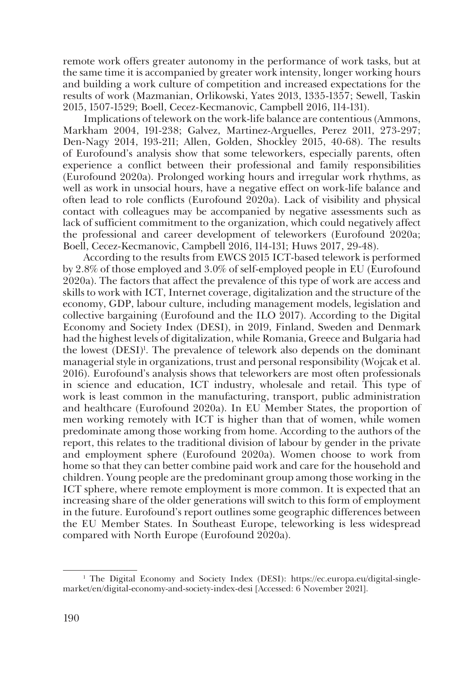remote work offers greater autonomy in the performance of work tasks, but at the same time it is accompanied by greater work intensity, longer working hours and building a work culture of competition and increased expectations for the results of work (Mazmanian, Orlikowski, Yates 2013, 1335-1357; Sewell, Taskin 2015, 1507-1529; Boell, Cecez-Kecmanovic, Campbell 2016, 114-131).

Implications of telework on the work-life balance are contentious (Ammons, Markham 2004, 191-238; Galvez, Martinez-Arguelles, Perez 2011, 273-297; Den-Nagy 2014, 193-211; Allen, Golden, Shockley 2015, 40-68). The results of Eurofound's analysis show that some teleworkers, especially parents, often experience a conflict between their professional and family responsibilities (Еurofound 2020a). Prolonged working hours and irregular work rhythms, as well as work in unsocial hours, have a negative effect on work-life balance and often lead to role conflicts (Eurofound 2020a). Lack of visibility and physical contact with colleagues may be accompanied by negative assessments such as lack of sufficient commitment to the organization, which could negatively affect the professional and career development of teleworkers (Eurofound 2020a; Boell, Cecez-Kecmanovic, Campbell 2016, 114-131; Huws 2017, 29-48).

According to the results from EWCS 2015 ICT-based telework is performed by 2.8% of those employed and 3.0% of self-employed people in EU (Eurofound 2020a). The factors that affect the prevalence of this type of work are access and skills to work with ICT, Internet coverage, digitalization and the structure of the economy, GDP, labour culture, including management models, legislation and collective bargaining (Eurofound and the ILO 2017). According to the Digital Economy and Society Index (DESI), in 2019, Finland, Sweden and Denmark had the highest levels of digitalization, while Romania, Greece and Bulgaria had the lowest (DESI)<sup>1</sup>. The prevalence of telework also depends on the dominant managerial style in organizations, trust and personal responsibility (Wojcak et al. 2016). Eurofound's analysis shows that teleworkers are most often professionals in science and education, ICT industry, wholesale and retail. This type of work is least common in the manufacturing, transport, public administration and healthcare (Eurofound 2020a). In EU Member States, the proportion of men working remotely with ICT is higher than that of women, while women predominate among those working from home. According to the authors of the report, this relates to the traditional division of labour by gender in the private and employment sphere (Eurofound 2020a). Women choose to work from home so that they can better combine paid work and care for the household and children. Young people are the predominant group among those working in the ICT sphere, where remote employment is more common. It is expected that an increasing share of the older generations will switch to this form of employment in the future. Eurofound's report outlines some geographic differences between the ЕU Member States. In Southeast Europe, teleworking is less widespread compared with North Europe (Eurofound 2020a).

<sup>1</sup> The Digital Economy and Society Index (DESI): https://ec.europa.eu/digital-singlemarket/en/digital-economy-and-society-index-desi [Accessed: 6 November 2021].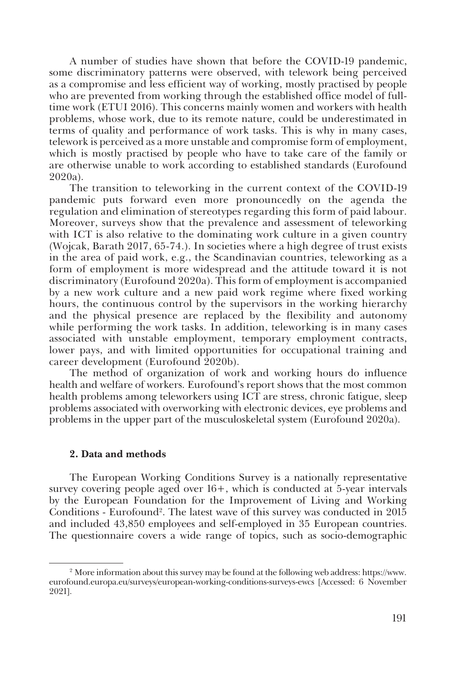A number of studies have shown that before the COVID-19 pandemic, some discriminatory patterns were observed, with telework being perceived as a compromise and less efficient way of working, mostly practised by people who are prevented from working through the established office model of fulltime work (ETUI 2016). This concerns mainly women and workers with health problems, whose work, due to its remote nature, could be underestimated in terms of quality and performance of work tasks. This is why in many cases, telework is perceived as a more unstable and compromise form of employment, which is mostly practised by people who have to take care of the family or are otherwise unable to work according to established standards (Eurofound 2020а).

The transition to teleworking in the current context of the COVID-19 pandemic puts forward even more pronouncedly on the agenda the regulation and elimination of stereotypes regarding this form of paid labour. Moreover, surveys show that the prevalence and assessment of teleworking with ICT is also relative to the dominating work culture in a given country (Wojcak, Barаth 2017, 65-74.). In societies where a high degree of trust exists in the area of paid work, e.g., the Scandinavian countries, teleworking as a form of employment is more widespread and the attitude toward it is not discriminatory (Eurofound 2020а). This form of employment is accompanied by a new work culture and a new paid work regime where fixed working hours, the continuous control by the supervisors in the working hierarchy and the physical presence are replaced by the flexibility and autonomy while performing the work tasks. In addition, teleworking is in many cases associated with unstable employment, temporary employment contracts, lower pays, and with limited opportunities for occupational training and career development (Eurofound 2020b).

The method of organization of work and working hours do influence health and welfare of workers. Eurofound's report shows that the most common health problems among teleworkers using ICT are stress, chronic fatigue, sleep problems associated with overworking with electronic devices, eye problems and problems in the upper part of the musculoskeletal system (Eurofound 2020a).

#### **2. Data and methods**

The European Working Conditions Survey is a nationally representative survey covering people aged over 16+, which is conducted at 5-year intervals by the European Foundation for the Improvement of Living and Working Conditions - Eurofound<sup>2</sup>. The latest wave of this survey was conducted in 2015 and included 43,850 employees and self-employed in 35 European countries. The questionnaire covers a wide range of topics, such as socio-demographic

<sup>2</sup> More information about this survey may be found at the following web address: https://www. eurofound.europa.eu/surveys/european-working-conditions-surveys-ewcs [Accessed: 6 November 2021].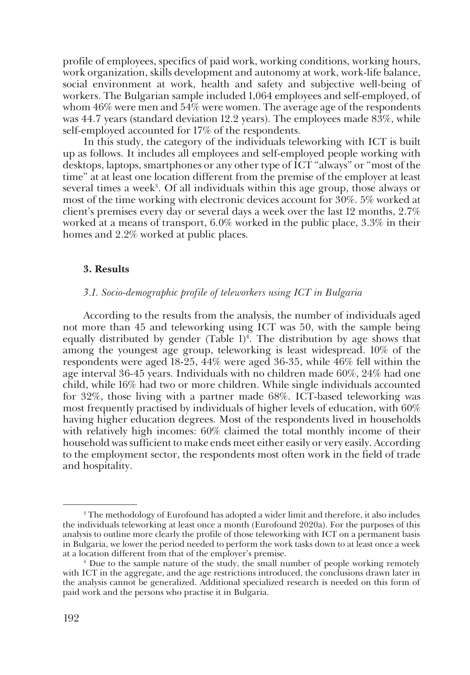profile of employees, specifics of paid work, working conditions, working hours, work organization, skills development and autonomy at work, work-life balance, social environment at work, health and safety and subjective well-being of workers. The Bulgarian sample included 1,064 employees and self-employed, of whom 46% were men and 54% were women. The average age of the respondents was 44.7 years (standard deviation 12.2 years). The employees made 83%, while self-employed accounted for 17% of the respondents.

In this study, the category of the individuals teleworking with ICT is built up as follows. It includes all employees and self-employed people working with desktops, laptops, smartphones or any other type of ICT "always" or "most of the time" at at least one location different from the premise of the employer at least several times a week<sup>3</sup>. Of all individuals within this age group, those always or most of the time working with electronic devices account for 30%. 5% worked at client's premises every day or several days a week over the last 12 months, 2.7% worked at a means of transport, 6.0% worked in the public place, 3.3% in their homes and 2.2% worked at public places.

## **3. Results**

#### *3.1. Socio-demographic profile of teleworkers using ICT in Bulgaria*

According to the results from the analysis, the number of individuals aged not more than 45 and teleworking using ICT was 50, with the sample being equally distributed by gender (Table  $1)^4$ . The distribution by age shows that among the youngest age group, teleworking is least widespread. 10% of the respondents were aged 18-25, 44% were aged 36-35, while 46% fell within the age interval 36-45 years. Individuals with no children made 60%, 24% had one child, while 16% had two or more children. While single individuals accounted for 32%, those living with a partner made 68%. ICT-based teleworking was most frequently practised by individuals of higher levels of education, with 60% having higher education degrees. Most of the respondents lived in households with relatively high incomes: 60% claimed the total monthly income of their household was sufficient to make ends meet either easily or very easily. According to the employment sector, the respondents most often work in the field of trade and hospitality.

<sup>&</sup>lt;sup>3</sup> The methodology of Eurofound has adopted a wider limit and therefore, it also includes the individuals teleworking at least once a month (Eurofound 2020a). For the purposes of this analysis to outline more clearly the profile of those teleworking with ICT on a permanent basis in Bulgaria, we lower the period needed to perform the work tasks down to at least once a week at a location different from that of the employer's premise. 4

<sup>&</sup>lt;sup>4</sup> Due to the sample nature of the study, the small number of people working remotely with ICT in the aggregate, and the age restrictions introduced, the conclusions drawn later in the analysis cannot be generalized. Additional specialized research is needed on this form of paid work and the persons who practise it in Bulgaria.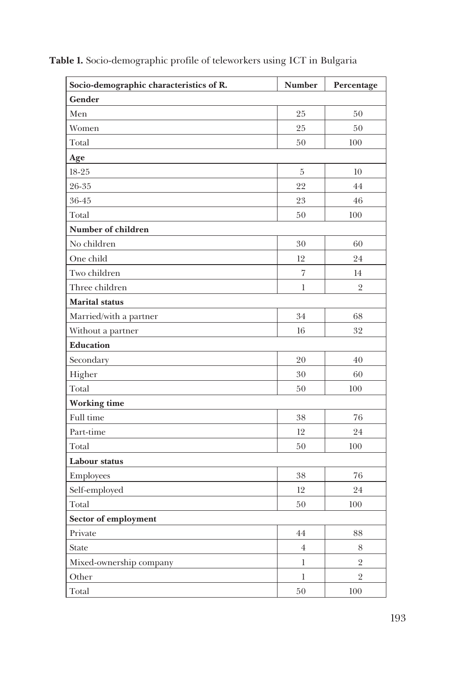| Socio-demographic characteristics of R. | <b>Number</b>  | Percentage     |
|-----------------------------------------|----------------|----------------|
| Gender                                  |                |                |
| Men                                     | 25             | 50             |
| Women                                   | 25             | 50             |
| Total                                   | 50             | 100            |
| Age                                     |                |                |
| $18 - 25$                               | $\overline{5}$ | 10             |
| 26-35                                   | 22             | 44             |
| 36-45                                   | 23             | 46             |
| Total                                   | $50\,$         | 100            |
| Number of children                      |                |                |
| No children                             | 30             | 60             |
| One child                               | 12             | 24             |
| Two children                            | $\overline{7}$ | 14             |
| Three children                          | 1              | $\overline{2}$ |
| <b>Marital</b> status                   |                |                |
| Married/with a partner                  | 34             | 68             |
| Without a partner                       | 16             | 32             |
| <b>Education</b>                        |                |                |
| Secondary                               | 20             | 40             |
| Higher                                  | 30             | 60             |
| Total                                   | 50             | 100            |
| <b>Working time</b>                     |                |                |
| Full time                               | 38             | 76             |
| Part-time                               | 12             | 24             |
| Total                                   | 50             | 100            |
| Labour status                           |                |                |
| Employees                               | 38             | 76             |
| Self-employed                           | 12             | 24             |
| Total                                   | $50\,$         | 100            |
| Sector of employment                    |                |                |
| Private                                 | 44             | $\bf 88$       |
| <b>State</b>                            | $\,4$          | $8\,$          |
| Mixed-ownership company                 | $\,$ $\,$      | $\sqrt{2}$     |
| Other                                   | $\bf{l}$       | $\overline{2}$ |
| Total                                   | $50\,$         | $100\,$        |

**Table 1.** Socio-demographic profile of teleworkers using ICT in Bulgaria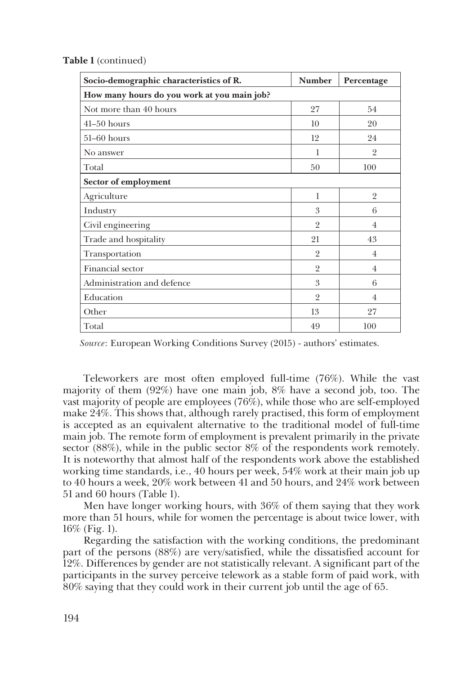| Socio-demographic characteristics of R.     | <b>Number</b>  | Percentage     |  |
|---------------------------------------------|----------------|----------------|--|
| How many hours do you work at you main job? |                |                |  |
| Not more than 40 hours                      | 27             | 54             |  |
| $41-50$ hours                               | 10             | 20             |  |
| $51-60$ hours                               | 12             | 24             |  |
| No answer                                   | 1              | $\overline{2}$ |  |
| Total                                       | 50             | 100            |  |
| Sector of employment                        |                |                |  |
| Agriculture                                 | 1              | $\overline{2}$ |  |
| Industry                                    | 3              | 6              |  |
| Civil engineering                           | $\overline{2}$ | $\overline{4}$ |  |
| Trade and hospitality                       | 21             | 43             |  |
| Transportation                              | $\overline{2}$ | $\overline{4}$ |  |
| Financial sector                            | $\overline{2}$ | $\overline{4}$ |  |
| Administration and defence                  | 3              | 6              |  |
| Education                                   | $\overline{2}$ | 4              |  |
| Other                                       | 13             | 27             |  |
| Total                                       | 49             | 100            |  |

**Table 1** (continued)

*Source*: European Working Conditions Survey (2015) - authors' estimates.

Teleworkers are most often employed full-time (76%). While the vast majority of them (92%) have one main job, 8% have a second job, too. The vast majority of people are employees (76%), while those who are self-employed make 24%. This shows that, although rarely practised, this form of employment is accepted as an equivalent alternative to the traditional model of full-time main job. The remote form of employment is prevalent primarily in the private sector (88%), while in the public sector 8% of the respondents work remotely. It is noteworthy that almost half of the respondents work above the established working time standards, i.e., 40 hours per week, 54% work at their main job up to 40 hours a week, 20% work between 41 and 50 hours, and 24% work between 51 and 60 hours (Table 1).

Men have longer working hours, with 36% of them saying that they work more than 51 hours, while for women the percentage is about twice lower, with 16% (Fig. 1).

Regarding the satisfaction with the working conditions, the predominant part of the persons (88%) are very/satisfied, while the dissatisfied account for 12%. Differences by gender are not statistically relevant. A significant part of the participants in the survey perceive telework as a stable form of paid work, with 80% saying that they could work in their current job until the age of 65.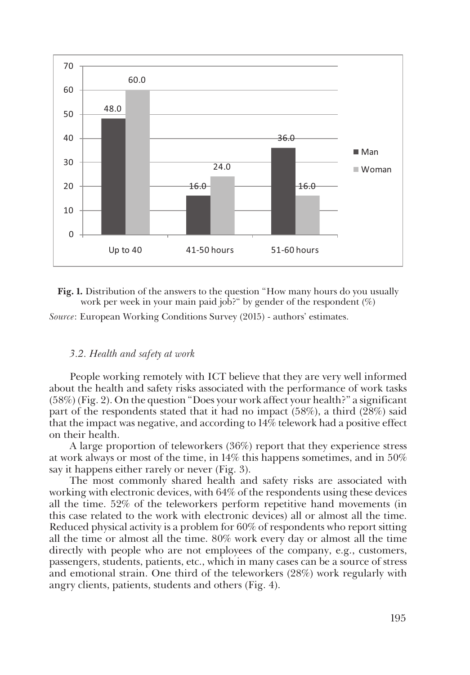

**Fig. 1.** Distribution of the answers to the question "How many hours do you usually work per week in your main paid job?" by gender of the respondent (%)

*Source*: European Working Conditions Survey (2015) - authors' estimates.

## *3.2. Health and safety at work*

People working remotely with ICT believe that they are very well informed about the health and safety risks associated with the performance of work tasks (58%) (Fig. 2). On the question "Does your work affect your health?" a significant part of the respondents stated that it had no impact (58%), a third (28%) said that the impact was negative, and according to 14% telework had a positive effect on their health.

A large proportion of teleworkers (36%) report that they experience stress at work always or most of the time, in 14% this happens sometimes, and in 50% say it happens either rarely or never (Fig. 3).

The most commonly shared health and safety risks are associated with working with electronic devices, with 64% of the respondents using these devices all the time. 52% of the teleworkers perform repetitive hand movements (in this case related to the work with electronic devices) all or almost all the time. Reduced physical activity is a problem for 60% of respondents who report sitting all the time or almost all the time. 80% work every day or almost all the time directly with people who are not employees of the company, e.g., customers, passengers, students, patients, etc., which in many cases can be a source of stress and emotional strain. One third of the teleworkers (28%) work regularly with angry clients, patients, students and others (Fig. 4).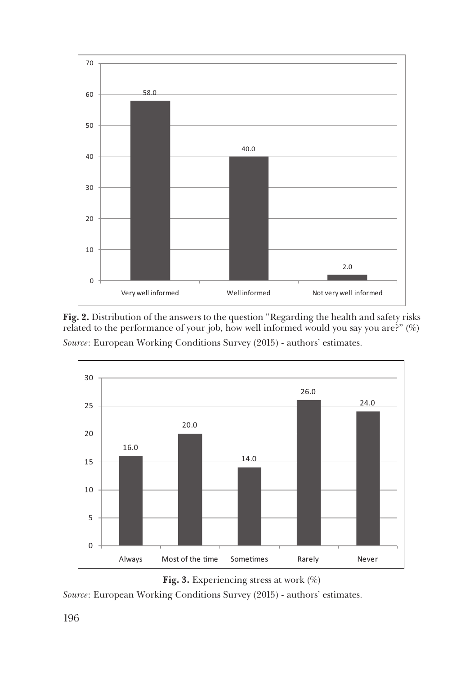

**Fig. 2.** Distribution of the answers to the question "Regarding the health and safety risks related to the performance of your job, how well informed would you say you are?" (%) *Source*: European Working Conditions Survey (2015) - authors' estimates.



**Fig. 3.** Experiencing stress at work (%)

*Source*: European Working Conditions Survey (2015) - authors' estimates.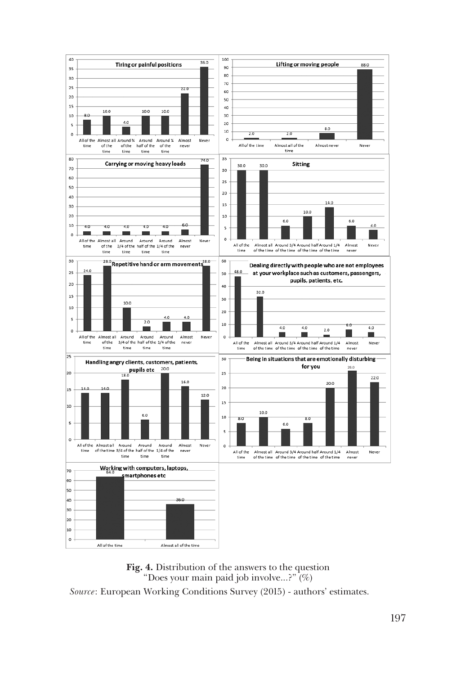

**Fig. 4.** Distribution of the answers to the question "Does your main paid job involve...?" (%) *Source*: European Working Conditions Survey (2015) - authors' estimates.

197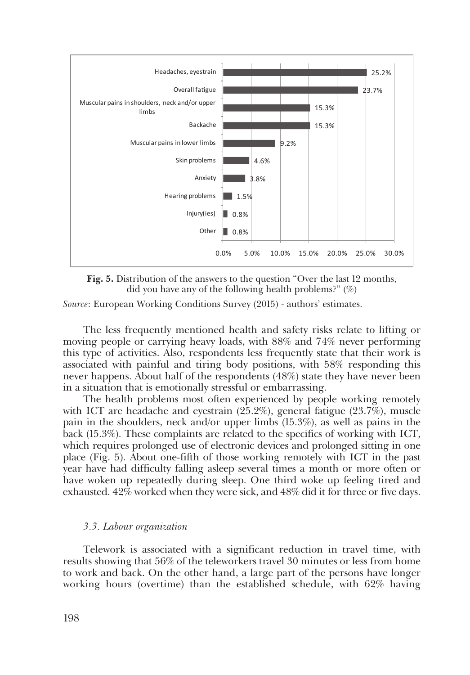

**Fig. 5.** Distribution of the answers to the question "Over the last 12 months, did you have any of the following health problems?" (%)

*Source*: European Working Conditions Survey (2015) - authors' estimates.

The less frequently mentioned health and safety risks relate to lifting or moving people or carrying heavy loads, with 88% and 74% never performing this type of activities. Also, respondents less frequently state that their work is associated with painful and tiring body positions, with 58% responding this never happens. About half of the respondents (48%) state they have never been in a situation that is emotionally stressful or embarrassing.

The health problems most often experienced by people working remotely with ICT are headache and eyestrain (25.2%), general fatigue (23.7%), muscle pain in the shoulders, neck and/or upper limbs (15.3%), as well as pains in the back (15.3%). These complaints are related to the specifics of working with ICT, which requires prolonged use of electronic devices and prolonged sitting in one place (Fig. 5). About one-fifth of those working remotely with ICT in the past year have had difficulty falling asleep several times a month or more often or have woken up repeatedly during sleep. One third woke up feeling tired and exhausted. 42% worked when they were sick, and 48% did it for three or five days.

## *3.3. Labour organization*

Telework is associated with a significant reduction in travel time, with results showing that 56% of the teleworkers travel 30 minutes or less from home to work and back. On the other hand, a large part of the persons have longer working hours (overtime) than the established schedule, with 62% having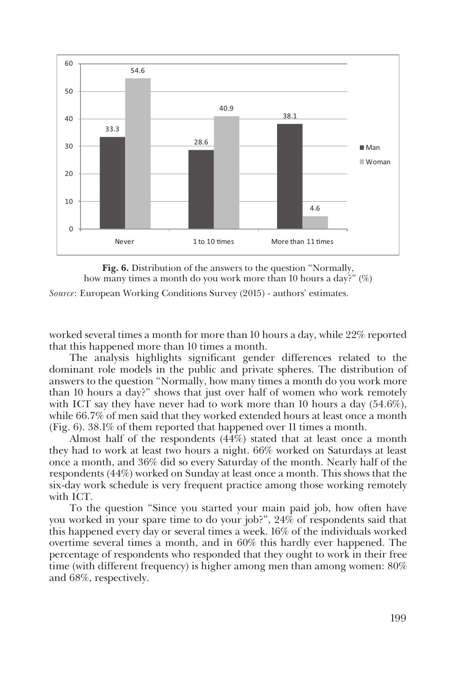

**Fig. 6.** Distribution of the answers to the question "Normally, how many times a month do you work more than 10 hours a day?" (%) *Source*: European Working Conditions Survey (2015) - authors' estimates.

worked several times a month for more than 10 hours a day, while 22% reported that this happened more than 10 times a month.

The analysis highlights significant gender differences related to the dominant role models in the public and private spheres. The distribution of answers to the question "Normally, how many times a month do you work more than 10 hours a day?" shows that just over half of women who work remotely with ICT say they have never had to work more than 10 hours a day (54.6%), while 66.7% of men said that they worked extended hours at least once a month (Fig. 6). 38.1% of them reported that happened over 11 times a month.

Almost half of the respondents (44%) stated that at least once a month they had to work at least two hours a night. 66% worked on Saturdays at least once a month, and 36% did so every Saturday of the month. Nearly half of the respondents (44%) worked on Sunday at least once a month. This shows that the six-day work schedule is very frequent practice among those working remotely with ICT.

To the question "Since you started your main paid job, how often have you worked in your spare time to do your job?", 24% of respondents said that this happened every day or several times a week. 16% of the individuals worked overtime several times a month, and in 60% this hardly ever happened. The percentage of respondents who responded that they ought to work in their free time (with different frequency) is higher among men than among women: 80% and 68%, respectively.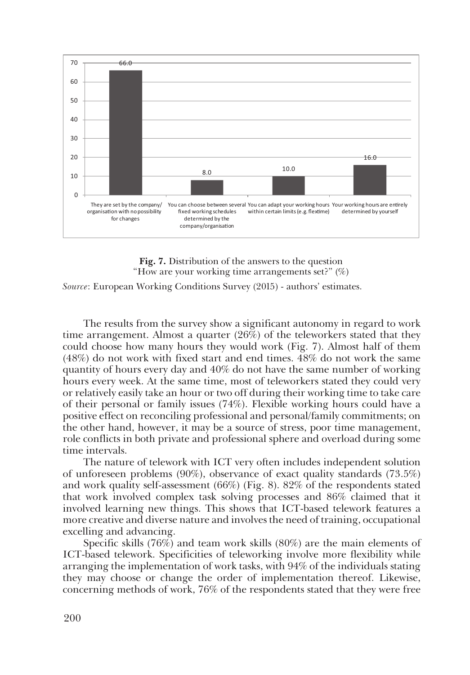

**Fig. 7.** Distribution of the answers to the question "How are your working time arrangements set?"  $(\%)$ 

*Source*: European Working Conditions Survey (2015) - authors' estimates.

The results from the survey show a significant autonomy in regard to work time arrangement. Almost a quarter (26%) of the teleworkers stated that they could choose how many hours they would work (Fig. 7). Almost half of them (48%) do not work with fixed start and end times. 48% do not work the same quantity of hours every day and 40% do not have the same number of working hours every week. At the same time, most of teleworkers stated they could very or relatively easily take an hour or two off during their working time to take care of their personal or family issues (74%). Flexible working hours could have a positive effect on reconciling professional and personal/family commitments; on the other hand, however, it may be a source of stress, poor time management, role conflicts in both private and professional sphere and overload during some time intervals.

The nature of telework with ICT very often includes independent solution of unforeseen problems (90%), observance of exact quality standards (73.5%) and work quality self-assessment (66%) (Fig. 8). 82% of the respondents stated that work involved complex task solving processes and 86% claimed that it involved learning new things. This shows that ICT-based telework features a more creative and diverse nature and involves the need of training, occupational excelling and advancing.

Specific skills (76%) and team work skills (80%) are the main elements of ICT-based telework. Specificities of teleworking involve more flexibility while arranging the implementation of work tasks, with 94% of the individuals stating they may choose or change the order of implementation thereof. Likewise, concerning methods of work, 76% of the respondents stated that they were free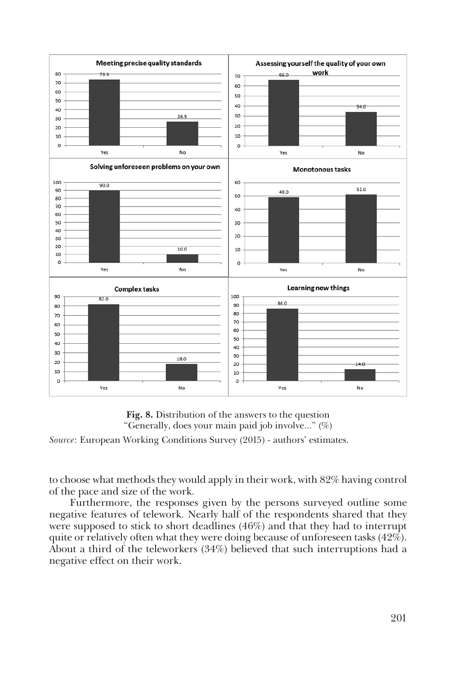



*Source*: European Working Conditions Survey (2015) - authors' estimates.

to choose what methods they would apply in their work, with 82% having control of the pace and size of the work.

Furthermore, the responses given by the persons surveyed outline some negative features of telework. Nearly half of the respondents shared that they were supposed to stick to short deadlines (46%) and that they had to interrupt quite or relatively often what they were doing because of unforeseen tasks (42%). About a third of the teleworkers (34%) believed that such interruptions had a negative effect on their work.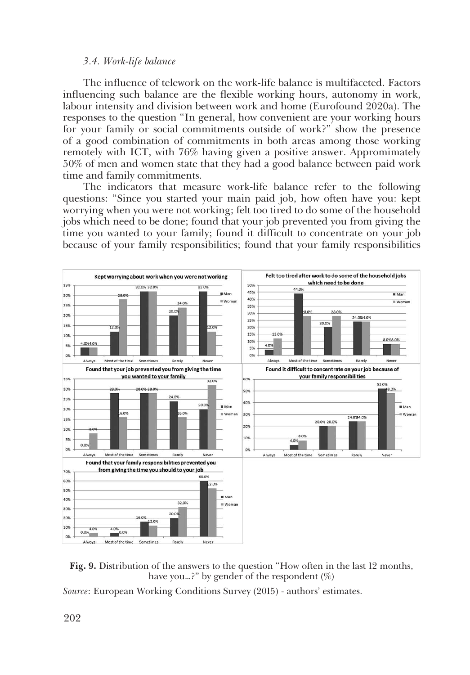## *3.4. Work-life balance*

The influence of telework on the work-life balance is multifaceted. Factors influencing such balance are the flexible working hours, autonomy in work, labour intensity and division between work and home (Eurofound 2020a). The responses to the question "In general, how convenient are your working hours for your family or social commitments outside of work?" show the presence of a good combination of commitments in both areas among those working remotely with ICT, with 76% having given a positive answer. Appromimately 50% of men and women state that they had a good balance between paid work time and family commitments.

The indicators that measure work-life balance refer to the following questions: "Since you started your main paid job, how often have you: kept worrying when you were not working; felt too tired to do some of the household jobs which need to be done; found that your job prevented you from giving the time you wanted to your family; found it difficult to concentrate on your job because of your family responsibilities; found that your family responsibilities





*Source*: European Working Conditions Survey (2015) - authors' estimates.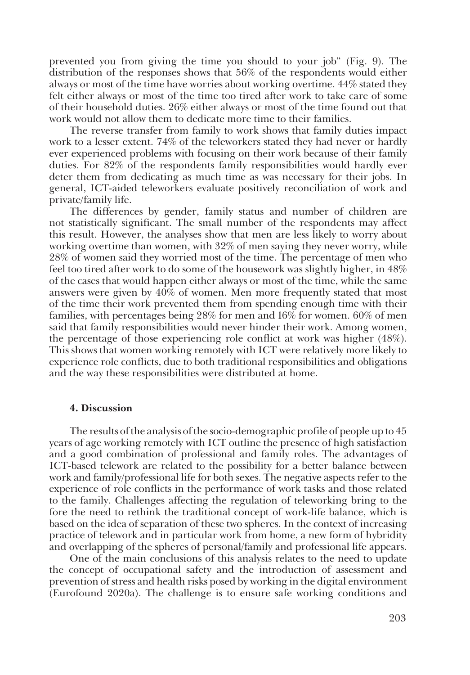prevented you from giving the time you should to your job" (Fig. 9). The distribution of the responses shows that 56% of the respondents would either always or most of the time have worries about working overtime. 44% stated they felt either always or most of the time too tired after work to take care of some of their household duties. 26% either always or most of the time found out that work would not allow them to dedicate more time to their families.

The reverse transfer from family to work shows that family duties impact work to a lesser extent. 74% of the teleworkers stated they had never or hardly ever experienced problems with focusing on their work because of their family duties. For 82% of the respondents family responsibilities would hardly ever deter them from dedicating as much time as was necessary for their jobs. In general, ICT-aided teleworkers evaluate positively reconciliation of work and private/family life.

The differences by gender, family status and number of children are not statistically significant. The small number of the respondents may affect this result. However, the analyses show that men are less likely to worry about working overtime than women, with 32% of men saying they never worry, while 28% of women said they worried most of the time. The percentage of men who feel too tired after work to do some of the housework was slightly higher, in 48% of the cases that would happen either always or most of the time, while the same answers were given by 40% of women. Men more frequently stated that most of the time their work prevented them from spending enough time with their families, with percentages being 28% for men and 16% for women. 60% of men said that family responsibilities would never hinder their work. Among women, the percentage of those experiencing role conflict at work was higher (48%). This shows that women working remotely with ICT were relatively more likely to experience role conflicts, due to both traditional responsibilities and obligations and the way these responsibilities were distributed at home.

#### **4. Discussion**

The results of the analysis of the socio-demographic profile of people up to 45 years of age working remotely with ICT outline the presence of high satisfaction and a good combination of professional and family roles. The advantages of ICT-based telework are related to the possibility for a better balance between work and family/professional life for both sexes. The negative aspects refer to the experience of role conflicts in the performance of work tasks and those related to the family. Challenges affecting the regulation of teleworking bring to the fore the need to rethink the traditional concept of work-life balance, which is based on the idea of separation of these two spheres. In the context of increasing practice of telework and in particular work from home, a new form of hybridity and overlapping of the spheres of personal/family and professional life appears.

One of the main conclusions of this analysis relates to the need to update the concept of occupational safety and the introduction of assessment and prevention of stress and health risks posed by working in the digital environment (Eurofound 2020a). The challenge is to ensure safe working conditions and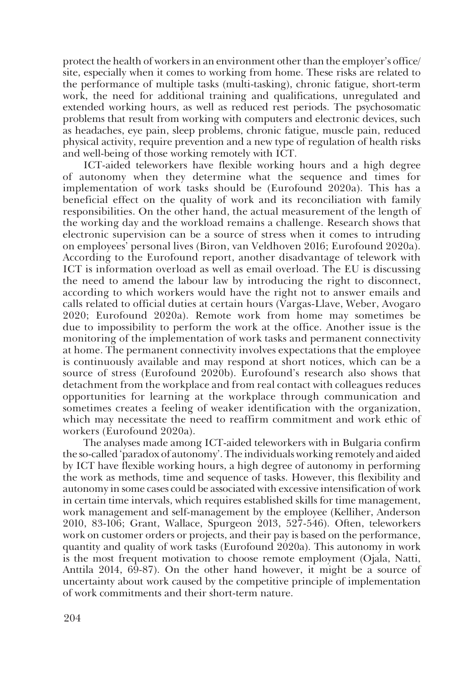protect the health of workers in an environment other than the employer's office/ site, especially when it comes to working from home. These risks are related to the performance of multiple tasks (multi-tasking), chronic fatigue, short-term work, the need for additional training and qualifications, unregulated and extended working hours, as well as reduced rest periods. The psychosomatic problems that result from working with computers and electronic devices, such as headaches, eye pain, sleep problems, chronic fatigue, muscle pain, reduced physical activity, require prevention and a new type of regulation of health risks and well-being of those working remotely with ICT.

ICT-aided teleworkers have flexible working hours and a high degree of autonomy when they determine what the sequence and times for implementation of work tasks should be (Eurofound 2020a). This has a beneficial effect on the quality of work and its reconciliation with family responsibilities. On the other hand, the actual measurement of the length of the working day and the workload remains a challenge. Research shows that electronic supervision can be a source of stress when it comes to intruding on employees' personal lives (Biron, van Veldhoven 2016; Eurofound 2020a). According to the Eurofound report, another disadvantage of telework with ICT is information overload as well as email overload. The EU is discussing the need to amend the labour law by introducing the right to disconnect, according to which workers would have the right not to answer emails and calls related to official duties at certain hours (Vargas-Llave, Weber, Avogaro 2020; Eurofound 2020a). Remote work from home may sometimes be due to impossibility to perform the work at the office. Another issue is the monitoring of the implementation of work tasks and permanent connectivity at home. The permanent connectivity involves expectations that the employee is continuously available and may respond at short notices, which can be a source of stress (Eurofound 2020b). Eurofound's research also shows that detachment from the workplace and from real contact with colleagues reduces opportunities for learning at the workplace through communication and sometimes creates a feeling of weaker identification with the organization, which may necessitate the need to reaffirm commitment and work ethic of workers (Eurofound 2020a).

The analyses made among ICT-aided teleworkers with in Bulgaria confirm the so-called 'paradox of autonomy'. The individuals working remotely and aided by ICT have flexible working hours, a high degree of autonomy in performing the work as methods, time and sequence of tasks. However, this flexibility and autonomy in some cases could be associated with excessive intensification of work in certain time intervals, which requires established skills for time management, work management and self-management by the employee (Kelliher, Anderson 2010, 83-106; Grant, Wallace, Spurgeon 2013, 527-546). Often, teleworkers work on customer orders or projects, and their pay is based on the performance, quantity and quality of work tasks (Eurofound 2020a). This autonomy in work is the most frequent motivation to choose remote employment (Ojala, Natti, Anttila 2014, 69-87). On the other hand however, it might be a source of uncertainty about work caused by the competitive principle of implementation of work commitments and their short-term nature.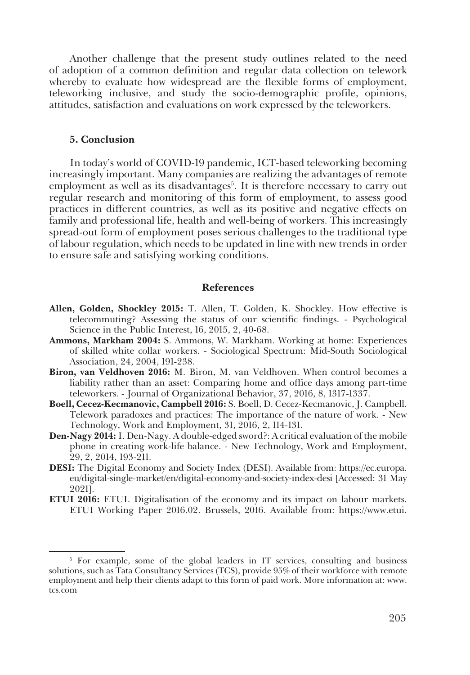Another challenge that the present study outlines related to the need of adoption of a common definition and regular data collection on telework whereby to evaluate how widespread are the flexible forms of employment, teleworking inclusive, and study the socio-demographic profile, opinions, attitudes, satisfaction and evaluations on work expressed by the teleworkers.

#### **5. Conclusion**

In today's world of COVID-19 pandemic, ICT-based teleworking becoming increasingly important. Many companies are realizing the advantages of remote employment as well as its disadvantages<sup>5</sup>. It is therefore necessary to carry out regular research and monitoring of this form of employment, to assess good practices in different countries, as well as its positive and negative effects on family and professional life, health and well-being of workers. This increasingly spread-out form of employment poses serious challenges to the traditional type of labour regulation, which needs to be updated in line with new trends in order to ensure safe and satisfying working conditions.

## **References**

- **Allen, Golden, Shockley 2015:** Т. Allen, T. Golden, K. Shockley. How effective is telecommuting? Assessing the status of our scientific findings. - Psychological Science in the Public Interest, 16, 2015, 2, 40-68.
- **Ammons, Markham 2004:** S. Ammons, W. Markham. Working at home: Experiences of skilled white collar workers. - Sociological Spectrum: Mid-South Sociological Association, 24, 2004, 191-238.
- **Biron, van Veldhoven 2016:** M. Biron, M. van Veldhoven. When control becomes a liability rather than an asset: Comparing home and office days among part-time teleworkers. - Journal of Organizational Behavior, 37, 2016, 8, 1317-1337.
- **Boell, Cecez-Kecmanovic, Campbell 2016:** S. Boell, D. Cecez-Kecmanovic, J. Campbell. Telework paradoxes and practices: The importance of the nature of work. - New Technology, Work and Employment, 31, 2016, 2, 114-131.
- **Den-Nagy 2014:** I. Den-Nagy. A double-edged sword?: A critical evaluation of the mobile phone in creating work-life balance. - New Technology, Work and Employment, 29, 2, 2014, 193-211.
- **DESI:** The Digital Economy and Society Index (DESI). Available from: https://ec.europa. eu/digital-single-market/en/digital-economy-and-society-index-desi [Accessed: 31 May 2021].
- **ETUI 2016:** ETUI. Digitalisation of the economy and its impact on labour markets. ETUI Working Paper 2016.02. Brussels, 2016. Available from: https://www.etui.

<sup>&</sup>lt;sup>5</sup> For example, some of the global leaders in IT services, consulting and business solutions, such as Tata Consultancy Services (TCS), provide 95% of their workforce with remote employment and help their clients adapt to this form of paid work. More information at: www. tcs.com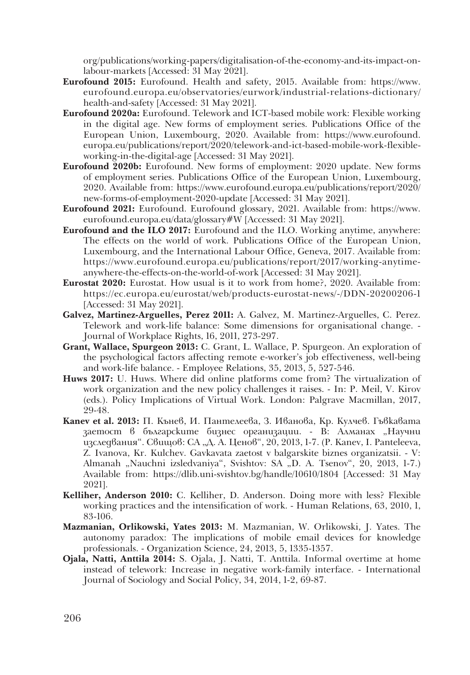org/publications/working-papers/digitalisation-of-the-economy-and-its-impact-onlabour-markets [Accessed: 31 May 2021].

- **Eurofound 2015:** Eurofound. Health and safety, 2015. Available from: https://www. eurofound.europa.eu/observatories/eurwork/industrial-relations-dictionary/ health-and-safety [Accessed: 31 May 2021].
- **Eurofound 2020a:** Eurofound. Telework and ICT-based mobile work: Flexible working in the digital age. New forms of employment series. Publications Office of the European Union, Luxembourg, 2020. Available from: https://www.eurofound. europa.eu/publications/report/2020/telework-and-ict-based-mobile-work-flexibleworking-in-the-digital-age [Accessed: 31 May 2021].
- **Eurofound 2020b:** Eurofound. New forms of employment: 2020 update. New forms of employment series. Publications Office of the European Union, Luxembourg, 2020. Available from: https://www.eurofound.europa.eu/publications/report/2020/ new-forms-of-employment-2020-update [Accessed: 31 May 2021].
- **Eurofound 2021:** Eurofound. Eurofound glossary, 2021. Available from: https://www. eurofound.europa.eu/data/glossary#W [Accessed: 31 May 2021].
- **Eurofound and the ILO 2017:** Eurofound and the ILO. Working anytime, anywhere: The effects on the world of work. Publications Office of the European Union, Luxembourg, and the International Labour Office, Geneva, 2017. Available from: https://www.eurofound.europa.eu/publications/report/2017/working-anytimeanywhere-the-effects-on-the-world-of-work [Accessed: 31 May 2021].
- **Eurostat 2020:** Eurostat. How usual is it to work from home?, 2020. Available from: https://ec.europa.eu/eurostat/web/products-eurostat-news/-/DDN-20200206-1 [Accessed: 31 May 2021].
- **Galvez, Martinez-Arguelles, Perez 2011:** A. Galvez, M. Martinez-Arguelles, C. Perez. Telework and work-life balance: Some dimensions for organisational change. - Journal of Workplace Rights, 16, 2011, 273-297.
- **Grant, Wallace, Spurgeon 2013:** C. Grant, L. Wallace, P. Spurgeon. An exploration of the psychological factors affecting remote e-worker's job effectiveness, well-being and work-life balance. - Employee Relations, 35, 2013, 5, 527-546.
- **Huws 2017:** U. Huws. Where did online platforms come from? The virtualization of work organization and the new policy challenges it raises. - In: P. Meil, V. Kirov (eds.). Policy Implications of Virtual Work. London: Palgrave Macmillan, 2017, 29-48.
- **Kanev et al. 2013:** П. Кънев, И. Пантелеева, З. Иванова, Кр. Кулчев. Гъвкавата заетост в българските бизнес организации. - В: Алманах "Научни изследвания". Свишов: СА "Д. А. Ценов", 20, 2013, 1-7. (Р. Капеу, I. Panteleeva, Z. Ivanova, Kr. Kulchev. Gavkavata zaetost v balgarskite biznes organizatsii. - V: Almanah "Nauchni izsledvaniya", Svishtov: SA "D. A. Tsenov", 20, 2013, 1-7.) Available from: https://dlib.uni-svishtov.bg/handle/10610/1804 [Accessed: 31 May 2021].
- **Kelliher, Anderson 2010:** C. Kelliher, D. Anderson. Doing more with less? Flexible working practices and the intensification of work. - Human Relations, 63, 2010, 1, 83-106.
- **Mazmanian, Orlikowski, Yates 2013:** M. Mazmanian, W. Orlikowski, J. Yates. The autonomy paradox: The implications of mobile email devices for knowledge professionals. - Organization Science, 24, 2013, 5, 1335-1357.
- **Ojala, Natti, Anttila 2014:** S. Ojala, J. Natti, T. Anttila. Informal overtime at home instead of telework: Increase in negative work-family interface. - International Journal of Sociology and Social Policy, 34, 2014, 1-2, 69-87.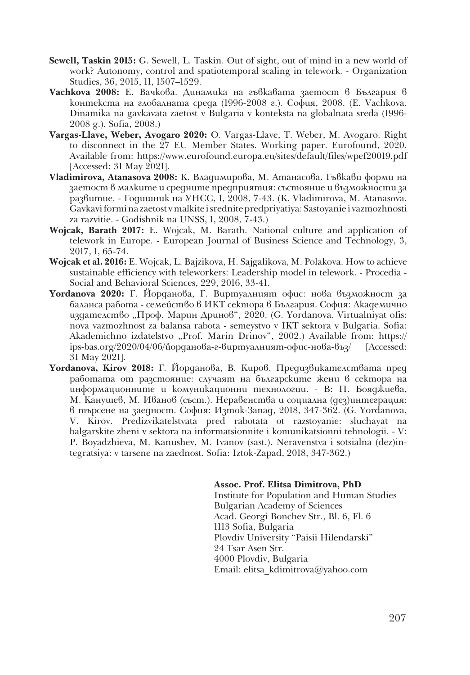- **Sewell, Taskin 2015:** G. Sewell, L. Taskin. Out of sight, out of mind in a new world of work? Autonomy, control and spatiotemporal scaling in telework. - Organization Studies, 36, 2015, 11, 1507–1529.
- **Vachkova 2008:** Е. Вачкова. Динамика на гъвкавата заетост в България в контекста на глобалната среда (1996-2008 г.). София, 2008. (E. Vachkova. Dinamika na gavkavata zaetost v Bulgaria v konteksta na globalnata sreda (1996- 2008 g.). Sofia, 2008.)
- **Vargas-Llave, Weber, Avogaro 2020:** O. Vargas-Llave, T. Weber, M. Avogaro. Right to disconnect in the 27 EU Member States. Working paper. Eurofound, 2020. Available from: https://www.eurofound.europa.eu/sites/default/files/wpef20019.pdf [Accessed: 31 May 2021].
- **Vladimirova, Atanasova 2008:** К. Владимирова, M. Атанасова. Гъвкави форми на заетост в малките и средните предприятия: състояние и възможности за развитие. - Годишник на УНСС, 1, 2008, 7-43. (K. Vladimirova, M. Atanasova. Gavkavi formi na zaetost v malkite i srednite predpriyatiya: Sastoyanie i vazmozhnosti za razvitie. - Godishnik na UNSS, 1, 2008, 7-43.)
- **Wojcak, Barаth 2017:** E. Wojcak, M. Barаth. National culture and application of telework in Europe. - European Journal of Business Science and Technology, 3, 2017, 1, 65-74.
- **Wojcak et al. 2016:** E. Wojcak, L. Bajzikova, H. Sajgalikova, M. Polakova. How to achieve sustainable efficiency with teleworkers: Leadership model in telework. - Procedia - Social and Behavioral Sciences, 229, 2016, 33-41.
- **Yordanova 2020:** Г. Йорданова, Г. Виртуалният офис: нова възможност за баланса работа - семейство в ИКТ сектора в България. София: Академично издателство "Проф. Марин Дринов", 2020. (G. Yordanova. Virtualniyat ofis: nova vazmozhnost za balansa rabota - semeystvo v IKT sektora v Bulgaria. Sofia: Akademichno izdatelstvo "Prof. Marin Drinov", 2002.) Available from: https:// ips-bas.org/2020/04/06/йорданова-г-виртуалният-офис-нова-въз/ [Accessed: 31 May 2021].
- **Yordanova, Kirov 2018:** Г. Йорданова, В. Киров. Предизвикателствата пред работата от разстояние: случаят на българските жени в сектора на информационните и комуникационни технологии. - В: П. Бояджиева, М. Канушев, М. Иванов (съст.). Неравенства и социална (дез)интеграция: в търсене на заедност. София: Изток-Запад, 2018, 347-362. (G. Yordanova, V. Kirov. Predizvikatelstvata pred rabotata ot razstoyanie: sluchayat na balgarskite zheni v sektora na informatsionnite i komunikatsionni tehnologii. - V: P. Boyadzhieva, M. Kanushev, M. Ivanov (sast.). Neravenstva i sotsialna (dez)integratsiya: v tarsene na zaednost. Sofia: Iztok-Zapad, 2018, 347-362.)

#### **Assoc. Prof. Elitsa Dimitrova, PhD**

 Institute for Population and Human Studies Bulgarian Academy of Sciences Acad. Georgi Bonchev Str., Bl. 6, Fl. 6 1113 Sofia, Bulgaria Plovdiv University "Paisii Hilendarski" 24 Tsar Asen Str. 4000 Plovdiv, Bulgaria Email: elitsa\_kdimitrova@yahoo.com